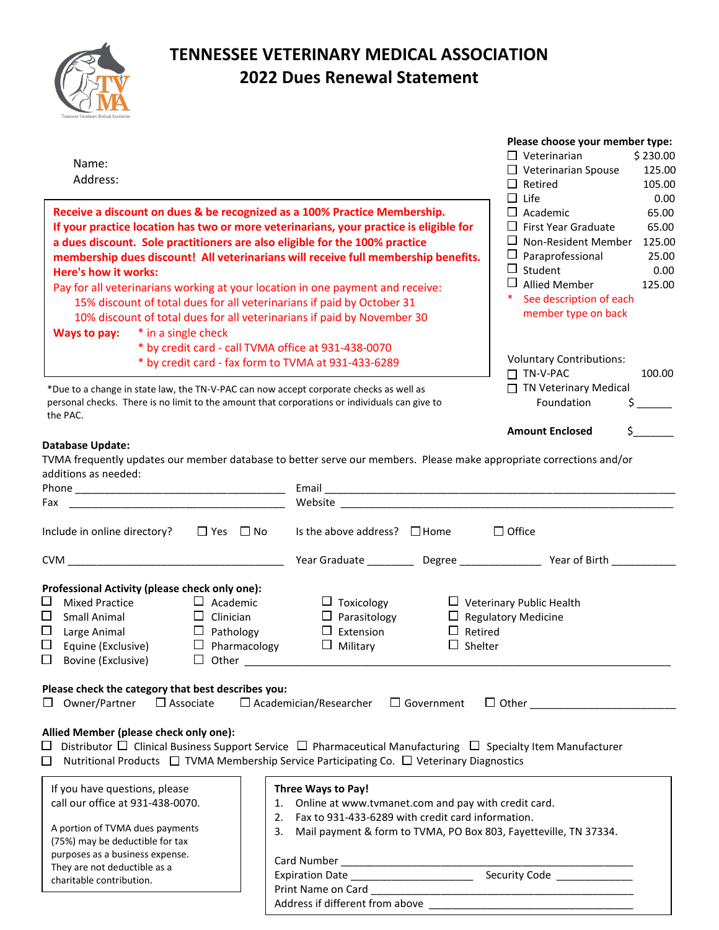

## **TENNESSEE VETERINARY MEDICAL ASSOCIATION 2022 Dues Renewal Statement**

| Name:<br>Address:<br>Receive a discount on dues & be recognized as a 100% Practice Membership.<br>If your practice location has two or more veterinarians, your practice is eligible for<br>a dues discount. Sole practitioners are also eligible for the 100% practice<br>membership dues discount! All veterinarians will receive full membership benefits.<br>Here's how it works:<br>Pay for all veterinarians working at your location in one payment and receive:<br>15% discount of total dues for all veterinarians if paid by October 31<br>10% discount of total dues for all veterinarians if paid by November 30<br>* in a single check<br>Ways to pay:<br>* by credit card - call TVMA office at 931-438-0070<br>* by credit card - fax form to TVMA at 931-433-6289 |                                                                                                                                                                                                                                                                     | Please choose your member type:<br>$\Box$ Veterinarian<br>\$230.00<br>$\Box$ Veterinarian Spouse<br>125.00<br>$\Box$ Retired<br>105.00<br>$\Box$ Life<br>0.00<br>$\Box$ Academic<br>65.00<br>$\Box$ First Year Graduate<br>65.00<br>$\Box$ Non-Resident Member 125.00<br>$\Box$ Paraprofessional<br>25.00<br>$\Box$ Student<br>0.00<br>$\Box$ Allied Member<br>125.00<br>$\ast$<br>See description of each<br>member type on back<br><b>Voluntary Contributions:</b> |
|-----------------------------------------------------------------------------------------------------------------------------------------------------------------------------------------------------------------------------------------------------------------------------------------------------------------------------------------------------------------------------------------------------------------------------------------------------------------------------------------------------------------------------------------------------------------------------------------------------------------------------------------------------------------------------------------------------------------------------------------------------------------------------------|---------------------------------------------------------------------------------------------------------------------------------------------------------------------------------------------------------------------------------------------------------------------|----------------------------------------------------------------------------------------------------------------------------------------------------------------------------------------------------------------------------------------------------------------------------------------------------------------------------------------------------------------------------------------------------------------------------------------------------------------------|
| *Due to a change in state law, the TN-V-PAC can now accept corporate checks as well as<br>personal checks. There is no limit to the amount that corporations or individuals can give to<br>the PAC.                                                                                                                                                                                                                                                                                                                                                                                                                                                                                                                                                                               |                                                                                                                                                                                                                                                                     | 100.00<br>$\Box$ TN-V-PAC<br>$\Box$ TN Veterinary Medical<br>Foundation                                                                                                                                                                                                                                                                                                                                                                                              |
|                                                                                                                                                                                                                                                                                                                                                                                                                                                                                                                                                                                                                                                                                                                                                                                   |                                                                                                                                                                                                                                                                     | <b>Amount Enclosed</b>                                                                                                                                                                                                                                                                                                                                                                                                                                               |
| TVMA frequently updates our member database to better serve our members. Please make appropriate corrections and/or<br>additions as needed:<br>Fax<br>$\Box$ Yes $\Box$ No<br>Include in online directory?                                                                                                                                                                                                                                                                                                                                                                                                                                                                                                                                                                        | Website and the state of the state of the state of the state of the state of the state of the state of the state of the state of the state of the state of the state of the state of the state of the state of the state of th<br>Is the above address? $\Box$ Home | $\Box$ Office                                                                                                                                                                                                                                                                                                                                                                                                                                                        |
| CVM                                                                                                                                                                                                                                                                                                                                                                                                                                                                                                                                                                                                                                                                                                                                                                               |                                                                                                                                                                                                                                                                     | Year Graduate ____________ Degree _____________________ Year of Birth ___________                                                                                                                                                                                                                                                                                                                                                                                    |
| Professional Activity (please check only one):<br>ப<br><b>Mixed Practice</b><br>$\Box$ Academic<br>$\Box$<br>Small Animal<br>$\Box$ Clinician<br>$\Box$<br>Large Animal<br>$\Box$ Pathology<br>$\Box$<br>$\Box$ Pharmacology<br>Equine (Exclusive)<br>$\Box$ Bovine (Exclusive)<br>$\Box$ Other                                                                                                                                                                                                                                                                                                                                                                                                                                                                                   | $\Box$ Toxicology<br>$\Box$ Parasitology<br>$\Box$ Extension<br>$\Box$ Military                                                                                                                                                                                     | $\Box$ Veterinary Public Health<br>$\Box$ Regulatory Medicine<br>$\Box$ Retired<br>$\Box$ Shelter                                                                                                                                                                                                                                                                                                                                                                    |
| Please check the category that best describes you:<br>$\Box$ Academician/Researcher<br>$\Box$ Government<br>$\Box$ Associate<br>$\Box$ Other $\Box$<br>Owner/Partner                                                                                                                                                                                                                                                                                                                                                                                                                                                                                                                                                                                                              |                                                                                                                                                                                                                                                                     |                                                                                                                                                                                                                                                                                                                                                                                                                                                                      |
| Allied Member (please check only one):<br>Distributor $\Box$ Clinical Business Support Service $\Box$ Pharmaceutical Manufacturing $\Box$ Specialty Item Manufacturer<br>$\Box$<br>Nutritional Products □ TVMA Membership Service Participating Co. □ Veterinary Diagnostics<br>□                                                                                                                                                                                                                                                                                                                                                                                                                                                                                                 |                                                                                                                                                                                                                                                                     |                                                                                                                                                                                                                                                                                                                                                                                                                                                                      |
| If you have questions, please<br>call our office at 931-438-0070.<br>2.<br>A portion of TVMA dues payments<br>3.<br>(75%) may be deductible for tax<br>purposes as a business expense.<br>They are not deductible as a<br>charitable contribution.                                                                                                                                                                                                                                                                                                                                                                                                                                                                                                                                | Three Ways to Pay!<br>1. Online at www.tvmanet.com and pay with credit card.<br>Fax to 931-433-6289 with credit card information.<br>Mail payment & form to TVMA, PO Box 803, Fayetteville, TN 37334.<br>Expiration Date ______________________                     | Security Code _____________                                                                                                                                                                                                                                                                                                                                                                                                                                          |